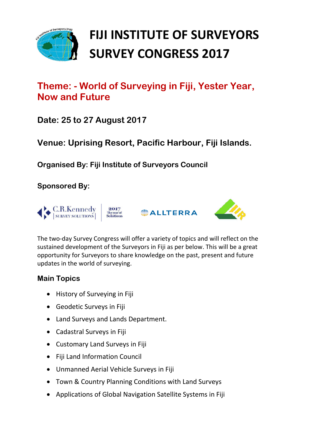

# **FIJI INSTITUTE OF SURVEYORS SURVEY CONGRESS 2017**

## **Theme: - World of Surveying in Fiji, Yester Year, Now and Future**

**Date: 25 to 27 August 2017**

**Venue: Uprising Resort, Pacific Harbour, Fiji Islands.**

**Organised By: Fiji Institute of Surveyors Council**

**Sponsored By:** 



The two-day Survey Congress will offer a variety of topics and will reflect on the sustained development of the Surveyors in Fiji as per below. This will be a great opportunity for Surveyors to share knowledge on the past, present and future updates in the world of surveying.

#### **Main Topics**

- History of Surveying in Fiji
- Geodetic Surveys in Fiji
- Land Surveys and Lands Department.
- Cadastral Surveys in Fiji
- Customary Land Surveys in Fiji
- Fiji Land Information Council
- Unmanned Aerial Vehicle Surveys in Fiji
- Town & Country Planning Conditions with Land Surveys
- Applications of Global Navigation Satellite Systems in Fiji